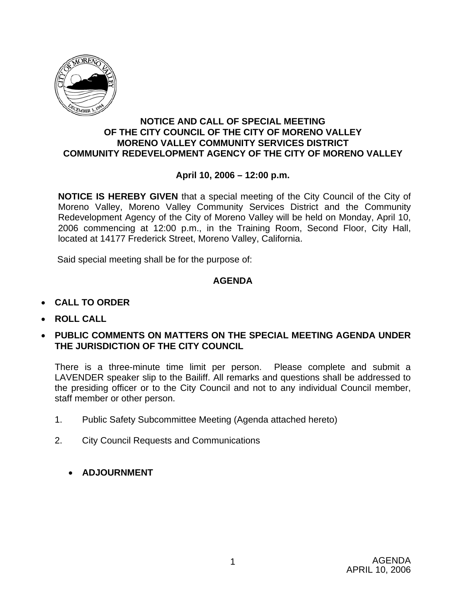

#### **NOTICE AND CALL OF SPECIAL MEETING OF THE CITY COUNCIL OF THE CITY OF MORENO VALLEY MORENO VALLEY COMMUNITY SERVICES DISTRICT COMMUNITY REDEVELOPMENT AGENCY OF THE CITY OF MORENO VALLEY**

### **April 10, 2006 – 12:00 p.m.**

**NOTICE IS HEREBY GIVEN** that a special meeting of the City Council of the City of Moreno Valley, Moreno Valley Community Services District and the Community Redevelopment Agency of the City of Moreno Valley will be held on Monday, April 10, 2006 commencing at 12:00 p.m., in the Training Room, Second Floor, City Hall, located at 14177 Frederick Street, Moreno Valley, California.

Said special meeting shall be for the purpose of:

### **AGENDA**

- **CALL TO ORDER**
- **ROLL CALL**
- **PUBLIC COMMENTS ON MATTERS ON THE SPECIAL MEETING AGENDA UNDER THE JURISDICTION OF THE CITY COUNCIL**

There is a three-minute time limit per person. Please complete and submit a LAVENDER speaker slip to the Bailiff. All remarks and questions shall be addressed to the presiding officer or to the City Council and not to any individual Council member, staff member or other person.

- 1. Public Safety Subcommittee Meeting (Agenda attached hereto)
- 2. City Council Requests and Communications
	- **ADJOURNMENT**